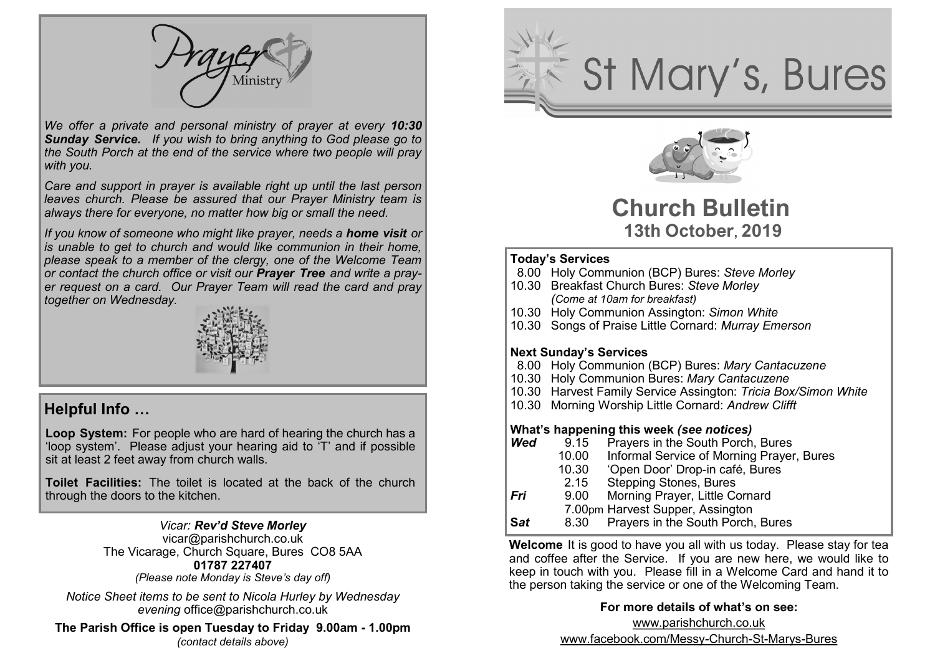Ministry

*We offer a private and personal ministry of prayer at every 10:30 Sunday Service. If you wish to bring anything to God please go to the South Porch at the end of the service where two people will pray with you.*

*Care and support in prayer is available right up until the last person leaves church. Please be assured that our Prayer Ministry team is always there for everyone, no matter how big or small the need.* 

*If you know of someone who might like prayer, needs a home visit or is unable to get to church and would like communion in their home, please speak to a member of the clergy, one of the Welcome Team or contact the church office or visit our Prayer Tree and write a prayer request on a card. Our Prayer Team will read the card and pray together on Wednesday.*



### **Helpful Info …**

**Loop System:** For people who are hard of hearing the church has a 'loop system'. Please adjust your hearing aid to 'T' and if possible sit at least 2 feet away from church walls.

**Toilet Facilities:** The toilet is located at the back of the church through the doors to the kitchen.

### *Vicar: Rev'd Steve Morley*

vicar@parishchurch.co.uk The Vicarage, Church Square, Bures CO8 5AA **01787 227407** 

*(Please note Monday is Steve's day off)*

*Notice Sheet items to be sent to Nicola Hurley by Wednesday evening* office@parishchurch.co.uk

**The Parish Office is open Tuesday to Friday 9.00am - 1.00pm**  *(contact details above)*





# **Church Bulletin 13th October, 2019**

### **Today's Services**

- 8.00 Holy Communion (BCP) Bures: *Steve Morley*
- 10.30 Breakfast Church Bures: *Steve Morley (Come at 10am for breakfast)*
- 10.30 Holy Communion Assington: *Simon White*
- 10.30 Songs of Praise Little Cornard: *Murray Emerson*

### **Next Sunday's Services**

- 8.00 Holy Communion (BCP) Bures: *Mary Cantacuzene*
- 10.30 Holy Communion Bures: *Mary Cantacuzene*
- 10.30 Harvest Family Service Assington: *Tricia Box/Simon White*
- 10.30 Morning Worship Little Cornard: *Andrew Clifft*

### **What's happening this week** *(see notices)*

- **Wed** 9.15 Prayers in the South Porch, Bures
	- 10.00 Informal Service of Morning Prayer, Bures
	- 10.30 'Open Door' Drop-in café, Bures
	- 2.15 Stepping Stones, Bures<br>9.00 Morning Praver, Little Co
- *Fri* 9.00 Morning Prayer, Little Cornard
	- 7.00pm Harvest Supper, Assington
- **S***at* 8.30 Prayers in the South Porch, Bures

**Welcome** It is good to have you all with us today. Please stay for tea and coffee after the Service. If you are new here, we would like to keep in touch with you. Please fill in a Welcome Card and hand it to the person taking the service or one of the Welcoming Team.

### **For more details of what's on see:**

www.parishchurch.co.uk www.facebook.com/Messy-Church-St-Marys-Bures